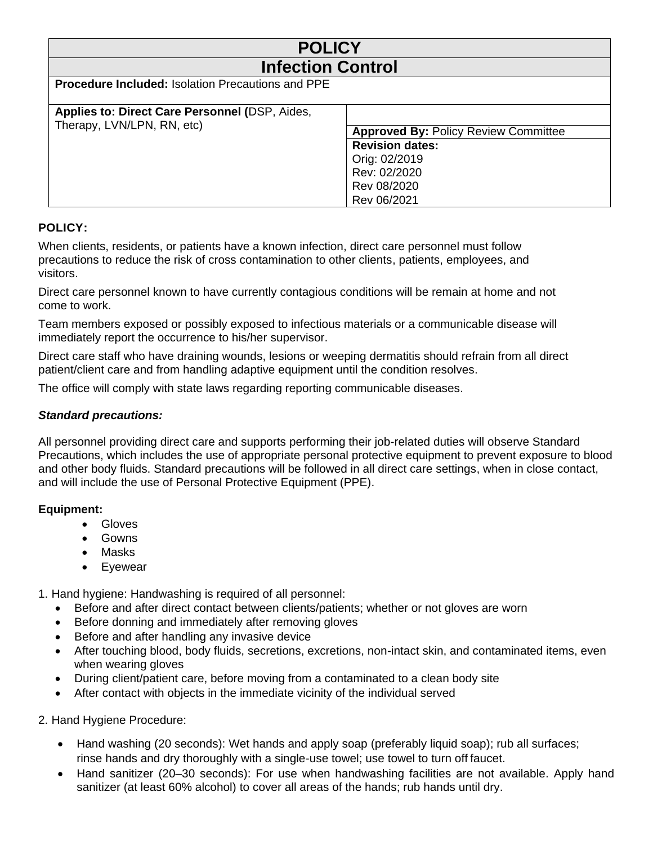| <b>POLICY</b>                                                                |                                                                                                                                      |
|------------------------------------------------------------------------------|--------------------------------------------------------------------------------------------------------------------------------------|
| <b>Infection Control</b>                                                     |                                                                                                                                      |
| Procedure Included: Isolation Precautions and PPE                            |                                                                                                                                      |
| Applies to: Direct Care Personnel (DSP, Aides,<br>Therapy, LVN/LPN, RN, etc) | <b>Approved By: Policy Review Committee</b><br><b>Revision dates:</b><br>Orig: 02/2019<br>Rev: 02/2020<br>Rev 08/2020<br>Rev 06/2021 |

# **POLICY:**

When clients, residents, or patients have a known infection, direct care personnel must follow precautions to reduce the risk of cross contamination to other clients, patients, employees, and visitors.

Direct care personnel known to have currently contagious conditions will be remain at home and not come to work.

Team members exposed or possibly exposed to infectious materials or a communicable disease will immediately report the occurrence to his/her supervisor.

Direct care staff who have draining wounds, lesions or weeping dermatitis should refrain from all direct patient/client care and from handling adaptive equipment until the condition resolves.

The office will comply with state laws regarding reporting communicable diseases.

## *Standard precautions:*

All personnel providing direct care and supports performing their job-related duties will observe Standard Precautions, which includes the use of appropriate personal protective equipment to prevent exposure to blood and other body fluids. Standard precautions will be followed in all direct care settings, when in close contact, and will include the use of Personal Protective Equipment (PPE).

## **Equipment:**

- Gloves
- Gowns
- Masks
- Eyewear

1. Hand hygiene: Handwashing is required of all personnel:

- Before and after direct contact between clients/patients; whether or not gloves are worn
- Before donning and immediately after removing gloves
- Before and after handling any invasive device
- After touching blood, body fluids, secretions, excretions, non-intact skin, and contaminated items, even when wearing gloves
- During client/patient care, before moving from a contaminated to a clean body site
- After contact with objects in the immediate vicinity of the individual served

## 2. Hand Hygiene Procedure:

- Hand washing (20 seconds): Wet hands and apply soap (preferably liquid soap); rub all surfaces; rinse hands and dry thoroughly with a single-use towel; use towel to turn off faucet.
- Hand sanitizer (20–30 seconds): For use when handwashing facilities are not available. Apply hand sanitizer (at least 60% alcohol) to cover all areas of the hands; rub hands until dry.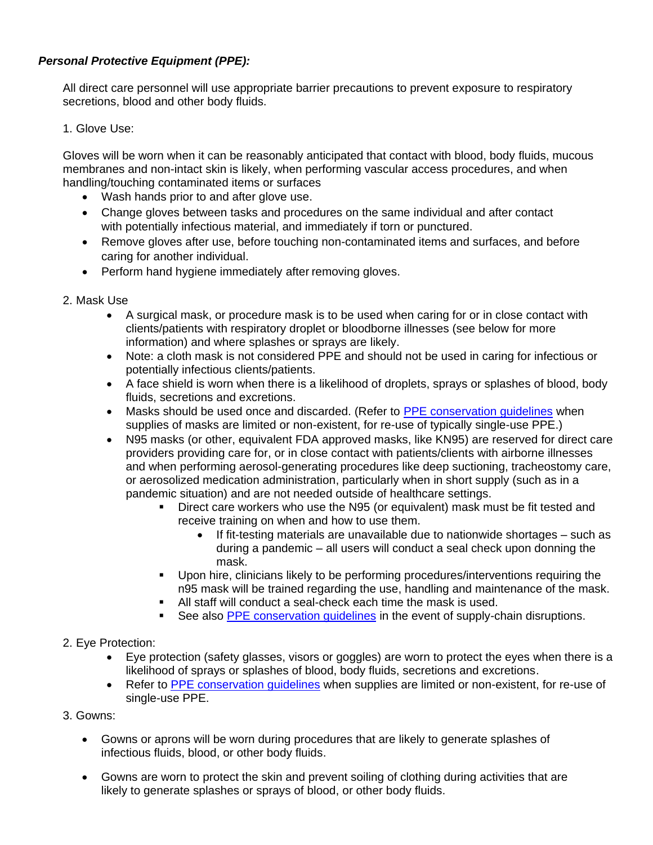## *Personal Protective Equipment (PPE):*

All direct care personnel will use appropriate barrier precautions to prevent exposure to respiratory secretions, blood and other body fluids.

1. Glove Use:

Gloves will be worn when it can be reasonably anticipated that contact with blood, body fluids, mucous membranes and non-intact skin is likely, when performing vascular access procedures, and when handling/touching contaminated items or surfaces

- Wash hands prior to and after glove use.
- Change gloves between tasks and procedures on the same individual and after contact with potentially infectious material, and immediately if torn or punctured.
- Remove gloves after use, before touching non-contaminated items and surfaces, and before caring for another individual.
- Perform hand hygiene immediately after removing gloves.
- 2. Mask Use
	- A surgical mask, or procedure mask is to be used when caring for or in close contact with clients/patients with respiratory droplet or bloodborne illnesses (see below for more information) and where splashes or sprays are likely.
	- Note: a cloth mask is not considered PPE and should not be used in caring for infectious or potentially infectious clients/patients.
	- A face shield is worn when there is a likelihood of droplets, sprays or splashes of blood, body fluids, secretions and excretions.
	- Masks should be used once and discarded. (Refer to [PPE conservation guidelines](https://reach.brightspringhealth.com/ppe_conservation/) when supplies of masks are limited or non-existent, for re-use of typically single-use PPE.)
	- N95 masks (or other, equivalent FDA approved masks, like KN95) are reserved for direct care providers providing care for, or in close contact with patients/clients with airborne illnesses and when performing aerosol-generating procedures like deep suctioning, tracheostomy care, or aerosolized medication administration, particularly when in short supply (such as in a pandemic situation) and are not needed outside of healthcare settings.
		- Direct care workers who use the N95 (or equivalent) mask must be fit tested and receive training on when and how to use them.
			- If fit-testing materials are unavailable due to nationwide shortages such as during a pandemic – all users will conduct a seal check upon donning the mask.
		- Upon hire, clinicians likely to be performing procedures/interventions requiring the n95 mask will be trained regarding the use, handling and maintenance of the mask.
		- All staff will conduct a seal-check each time the mask is used.
		- See also **PPE** conservation guidelines in the event of supply-chain disruptions.
- 2. Eye Protection:
	- Eye protection (safety glasses, visors or goggles) are worn to protect the eyes when there is a likelihood of sprays or splashes of blood, body fluids, secretions and excretions.
	- Refer to [PPE conservation](https://reach.brightspringhealth.com/ppe_conservation/) quidelines when supplies are limited or non-existent, for re-use of single-use PPE.
- 3. Gowns:
	- Gowns or aprons will be worn during procedures that are likely to generate splashes of infectious fluids, blood, or other body fluids.
	- Gowns are worn to protect the skin and prevent soiling of clothing during activities that are likely to generate splashes or sprays of blood, or other body fluids.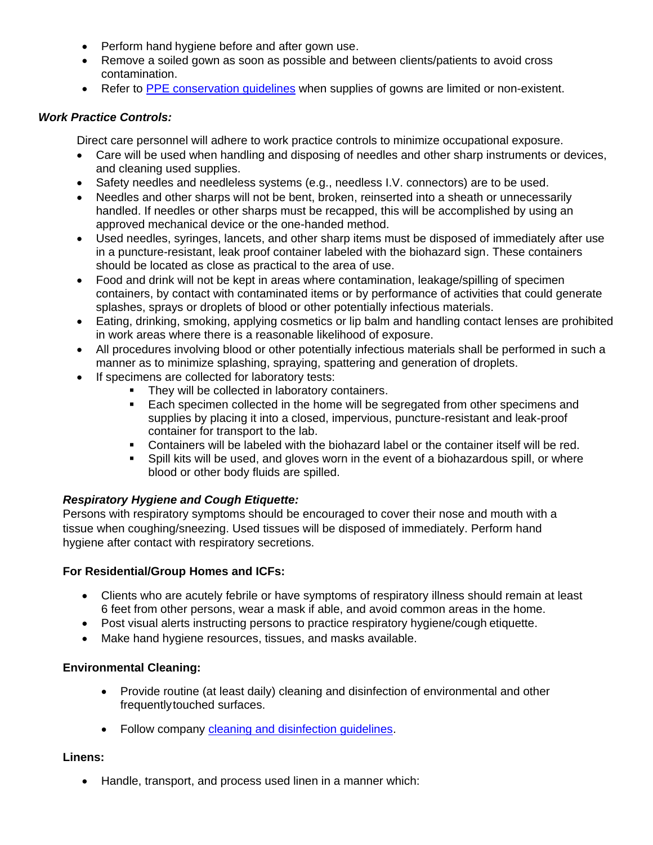- Perform hand hygiene before and after gown use.
- Remove a soiled gown as soon as possible and between clients/patients to avoid cross contamination.
- Refer to [PPE conservation guidelines](https://reach.brightspringhealth.com/ppe_conservation/) when supplies of gowns are limited or non-existent.

## *Work Practice Controls:*

Direct care personnel will adhere to work practice controls to minimize occupational exposure.

- Care will be used when handling and disposing of needles and other sharp instruments or devices, and cleaning used supplies.
- Safety needles and needleless systems (e.g., needless I.V. connectors) are to be used.
- Needles and other sharps will not be bent, broken, reinserted into a sheath or unnecessarily handled. If needles or other sharps must be recapped, this will be accomplished by using an approved mechanical device or the one-handed method.
- Used needles, syringes, lancets, and other sharp items must be disposed of immediately after use in a puncture-resistant, leak proof container labeled with the biohazard sign. These containers should be located as close as practical to the area of use.
- Food and drink will not be kept in areas where contamination, leakage/spilling of specimen containers, by contact with contaminated items or by performance of activities that could generate splashes, sprays or droplets of blood or other potentially infectious materials.
- Eating, drinking, smoking, applying cosmetics or lip balm and handling contact lenses are prohibited in work areas where there is a reasonable likelihood of exposure.
- All procedures involving blood or other potentially infectious materials shall be performed in such a manner as to minimize splashing, spraying, spattering and generation of droplets.
- If specimens are collected for laboratory tests:
	- They will be collected in laboratory containers.
	- Each specimen collected in the home will be segregated from other specimens and supplies by placing it into a closed, impervious, puncture-resistant and leak-proof container for transport to the lab.
	- **•** Containers will be labeled with the biohazard label or the container itself will be red.
	- Spill kits will be used, and gloves worn in the event of a biohazardous spill, or where blood or other body fluids are spilled.

# *Respiratory Hygiene and Cough Etiquette:*

Persons with respiratory symptoms should be encouraged to cover their nose and mouth with a tissue when coughing/sneezing. Used tissues will be disposed of immediately. Perform hand hygiene after contact with respiratory secretions.

## **For Residential/Group Homes and ICFs:**

- Clients who are acutely febrile or have symptoms of respiratory illness should remain at least 6 feet from other persons, wear a mask if able, and avoid common areas in the home.
- Post visual alerts instructing persons to practice respiratory hygiene/cough etiquette.
- Make hand hygiene resources, tissues, and masks available.

# **Environmental Cleaning:**

- Provide routine (at least daily) cleaning and disinfection of environmental and other frequentlytouched surfaces.
- Follow company [cleaning and disinfection guidelines.](https://reach.brightspringhealth.com/cleaning_and_disinfection_guidelines/)

## **Linens:**

• Handle, transport, and process used linen in a manner which: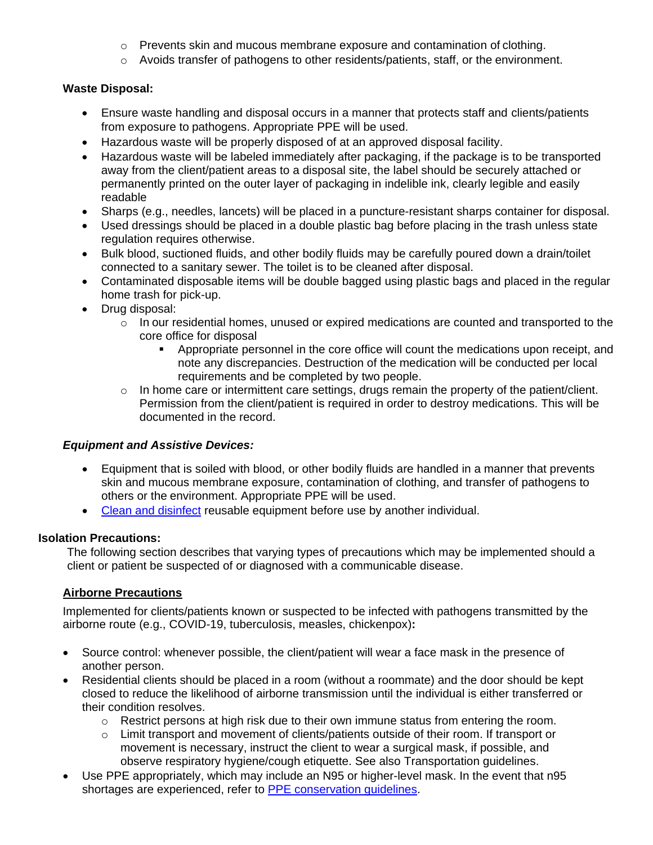- o Prevents skin and mucous membrane exposure and contamination of clothing.
- o Avoids transfer of pathogens to other residents/patients, staff, or the environment.

# **Waste Disposal:**

- Ensure waste handling and disposal occurs in a manner that protects staff and clients/patients from exposure to pathogens. Appropriate PPE will be used.
- Hazardous waste will be properly disposed of at an approved disposal facility.
- Hazardous waste will be labeled immediately after packaging, if the package is to be transported away from the client/patient areas to a disposal site, the label should be securely attached or permanently printed on the outer layer of packaging in indelible ink, clearly legible and easily readable
- Sharps (e.g., needles, lancets) will be placed in a puncture-resistant sharps container for disposal.
- Used dressings should be placed in a double plastic bag before placing in the trash unless state regulation requires otherwise.
- Bulk blood, suctioned fluids, and other bodily fluids may be carefully poured down a drain/toilet connected to a sanitary sewer. The toilet is to be cleaned after disposal.
- Contaminated disposable items will be double bagged using plastic bags and placed in the regular home trash for pick-up.
- Drug disposal:
	- o In our residential homes, unused or expired medications are counted and transported to the core office for disposal
		- Appropriate personnel in the core office will count the medications upon receipt, and note any discrepancies. Destruction of the medication will be conducted per local requirements and be completed by two people.
	- $\circ$  In home care or intermittent care settings, drugs remain the property of the patient/client. Permission from the client/patient is required in order to destroy medications. This will be documented in the record.

## *Equipment and Assistive Devices:*

- Equipment that is soiled with blood, or other bodily fluids are handled in a manner that prevents skin and mucous membrane exposure, contamination of clothing, and transfer of pathogens to others or the environment. Appropriate PPE will be used.
- [Clean and disinfect](https://reach.brightspringhealth.com/cleaning_and_disinfection_guidelines/) reusable equipment before use by another individual.

# **Isolation Precautions:**

The following section describes that varying types of precautions which may be implemented should a client or patient be suspected of or diagnosed with a communicable disease.

# **Airborne Precautions**

Implemented for clients/patients known or suspected to be infected with pathogens transmitted by the airborne route (e.g., COVID-19, tuberculosis, measles, chickenpox)**:**

- Source control: whenever possible, the client/patient will wear a face mask in the presence of another person.
- Residential clients should be placed in a room (without a roommate) and the door should be kept closed to reduce the likelihood of airborne transmission until the individual is either transferred or their condition resolves.
	- $\circ$  Restrict persons at high risk due to their own immune status from entering the room.
	- o Limit transport and movement of clients/patients outside of their room. If transport or movement is necessary, instruct the client to wear a surgical mask, if possible, and observe respiratory hygiene/cough etiquette. See also [Transportation guidelines.](https://www.brightspringhealth.com/wp-content/uploads/Transportation-and-cleaning-and-disinfecting-transport-vehicles-rev-07172020_External.pdf)
- Use PPE appropriately, which may include an N95 or higher-level mask. In the event that n95 shortages are experienced, refer to [PPE conservation guidelines.](https://reach.brightspringhealth.com/ppe_conservation/)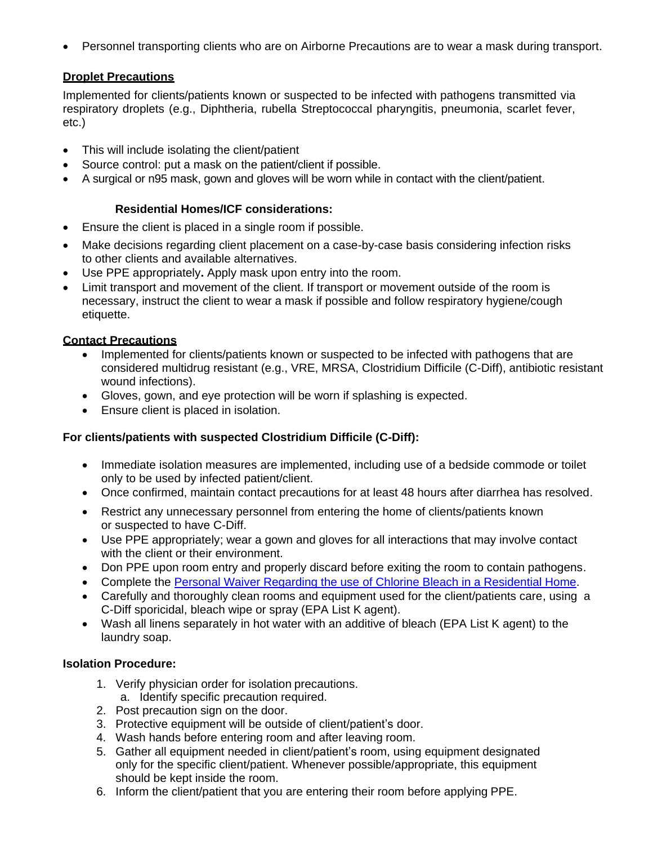• Personnel transporting clients who are on Airborne Precautions are to wear a mask during transport.

## **Droplet Precautions**

Implemented for clients/patients known or suspected to be infected with pathogens transmitted via respiratory droplets (e.g., Diphtheria, rubella Streptococcal pharyngitis, pneumonia, scarlet fever, etc.)

- This will include isolating the client/patient
- Source control: put a mask on the patient/client if possible.
- A surgical or n95 mask, gown and gloves will be worn while in contact with the client/patient.

#### **Residential Homes/ICF considerations:**

- Ensure the client is placed in a single room if possible.
- Make decisions regarding client placement on a case-by-case basis considering infection risks to other clients and available alternatives.
- Use PPE appropriately**.** Apply mask upon entry into the room.
- Limit transport and movement of the client. If transport or movement outside of the room is necessary, instruct the client to wear a mask if possible and follow respiratory hygiene/cough etiquette.

#### **Contact Precautions**

- Implemented for clients/patients known or suspected to be infected with pathogens that are considered multidrug resistant (e.g., VRE, MRSA, Clostridium Difficile (C-Diff), antibiotic resistant wound infections).
- Gloves, gown, and eye protection will be worn if splashing is expected.
- Ensure client is placed in isolation.

## **For clients/patients with suspected Clostridium Difficile (C-Diff):**

- Immediate isolation measures are implemented, including use of a bedside commode or toilet only to be used by infected patient/client.
- Once confirmed, maintain contact precautions for at least 48 hours after diarrhea has resolved.
- Restrict any unnecessary personnel from entering the home of clients/patients known or suspected to have C-Diff.
- Use PPE appropriately; wear a gown and gloves for all interactions that may involve contact with the client or their environment.
- Don PPE upon room entry and properly discard before exiting the room to contain pathogens.
- Complete the Personal Waiver Regarding the use [of Chlorine Bleach in a Residential Home.](https://reach.brightspringhealth.com/bleach_waiver/)
- Carefully and thoroughly clean rooms and equipment used for the client/patients care, using a C-Diff sporicidal, bleach wipe or spray (EPA List K agent).
- Wash all linens separately in hot water with an additive of bleach (EPA List K agent) to the laundry soap.

## **Isolation Procedure:**

- 1. Verify physician order for isolation precautions. a. Identify specific precaution required.
- 2. Post precaution sign on the door.
- 3. Protective equipment will be outside of client/patient's door.
- 4. Wash hands before entering room and after leaving room.
- 5. Gather all equipment needed in client/patient's room, using equipment designated only for the specific client/patient. Whenever possible/appropriate, this equipment should be kept inside the room.
- 6. Inform the client/patient that you are entering their room before applying PPE.